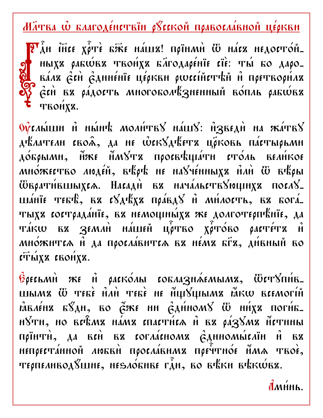## 

PLAH THEE XITE EXE HÁLLE! NOIHMH W HÁCZ HEAOCTÓH\_ HLIXX PAEWEZ TROHXX EATOAAPÉHIE CIE: THI EO AAPO-RÁAZ CEN CANNENIE LESKEN SWECINETTEN A MOETROSHAZ Ech Bz páдость многоболезненный вопль рабовх твоих .

OVERMILLIH I HMHT MORHTEY HALLY: H3BEAH HA KATEY дълатели своя, да не фек8дъетъ црковь пастырьми до́брыми, йже ймУта просвъщати столь вели́кое MHÓЖЕСТВО ЛЮДЕ́Й, ВЪРЪ НЕ НАУЧЕ́ННЫХА ПАН Ѿ ВЪАН **Ѿврати́вшыхса. Насади ва нача́льств** $\delta$ **ющиха посл** $\delta$ **\_** шаніе тебе, вз сватвх правдв й милость, вз богатыха сострада́ніе, ва немощны́ха же долготерпъніе, да TÁKU EZ ZEMAH HÁLIEH LIPTEO XPTÓRO PACTÉTZ H MHÓXHTIA H AA HOOLAARHTIA BZ HÉMZ EFZ, AHEHLIH BO **επώχε** εκοήχε.

BOECLMH ЖЕ Н РАСКОЛЫ СОБЛАЗНАЕМЫМЪ, ѾСТЎПИ́В. шыми Ѿ тебе ний тебе не ниуцыми йкш всемогий  $\hat{a}$ вле́на б $\hat{a}$ ди, во  $\hat{c}$ же ни  $\hat{c}$ ди́ном $\hat{c}$  Ши́ха поги́б-HÝTH, HO BEFRMZ HÁMZ ENAETHEA H EZ PÁZÝMZ HETHHLI прїнти, да всй ви согласноми єдиномы́слїн й ви HENPECTÁHHOH AMERH NPOCAÁBHMZ NPETTHÓE HMA TROE, терпеливод 8шне, не злобние гди, во въки въкшея.

 $\hat{\mathbf{M}}$ MHH<sub>b</sub>.